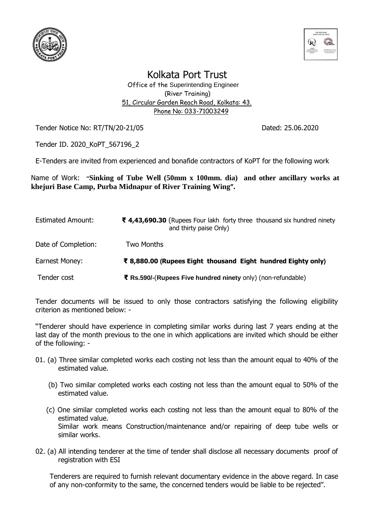



Kolkata Port Trust

 Office of the Superintending Engineer (River Training) 51, Circular Garden Reach Road, Kolkata: 43. Phone No: 033-71003249

Tender Notice No: RT/TN/20-21/05 Contract Contract Contract Dated: 25.06.2020

Tender ID. 2020\_KoPT\_567196\_2

E-Tenders are invited from experienced and bonafide contractors of KoPT for the following work

Name of Work: **"Sinking of Tube Well (50mm x 100mm. dia) and other ancillary works at khejuri Base Camp, Purba Midnapur of River Training Wing".**

| <b>Estimated Amount:</b> | ₹ 4,43,690.30 (Rupees Four lakh forty three thousand six hundred ninety<br>and thirty paise Only) |
|--------------------------|---------------------------------------------------------------------------------------------------|
| Date of Completion:      | Two Months                                                                                        |
| Earnest Money:           | ₹ 8,880.00 (Rupees Eight thousand Eight hundred Eighty only)                                      |
| Tender cost              | ₹ Rs.590/-(Rupees Five hundred ninety only) (non-refundable)                                      |

Tender documents will be issued to only those contractors satisfying the following eligibility criterion as mentioned below: -

"Tenderer should have experience in completing similar works during last 7 years ending at the last day of the month previous to the one in which applications are invited which should be either of the following: -

- 01. (a) Three similar completed works each costing not less than the amount equal to 40% of the estimated value.
	- (b) Two similar completed works each costing not less than the amount equal to 50% of the estimated value.
	- (c) One similar completed works each costing not less than the amount equal to 80% of the estimated value. Similar work means Construction/maintenance and/or repairing of deep tube wells or similar works.
- 02. (a) All intending tenderer at the time of tender shall disclose all necessary documents proof of registration with ESI

Tenderers are required to furnish relevant documentary evidence in the above regard. In case of any non-conformity to the same, the concerned tenders would be liable to be rejected".